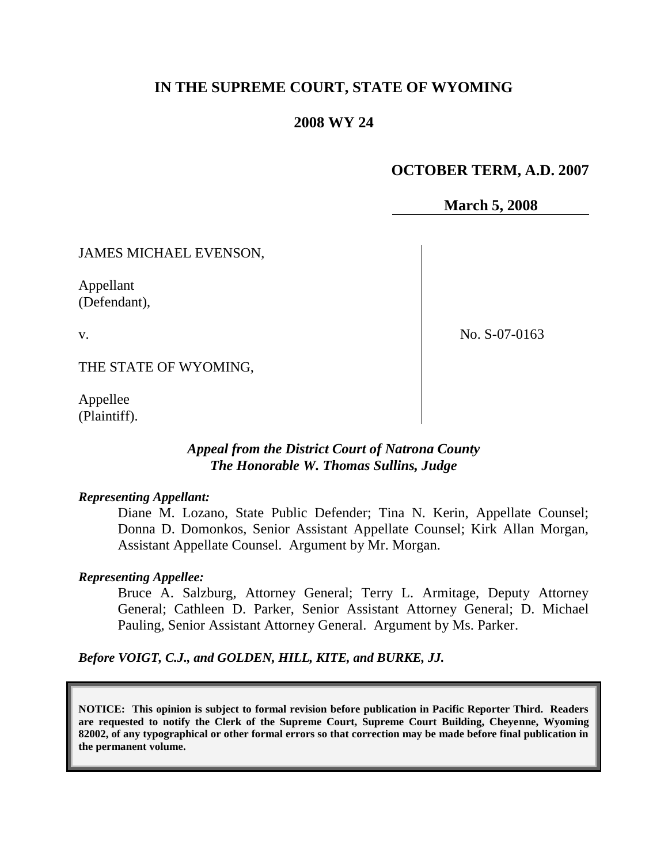## **IN THE SUPREME COURT, STATE OF WYOMING**

### **2008 WY 24**

## **OCTOBER TERM, A.D. 2007**

**March 5, 2008**

JAMES MICHAEL EVENSON,

Appellant (Defendant),

v.

No. S-07-0163

THE STATE OF WYOMING,

Appellee (Plaintiff).

### *Appeal from the District Court of Natrona County The Honorable W. Thomas Sullins, Judge*

#### *Representing Appellant:*

Diane M. Lozano, State Public Defender; Tina N. Kerin, Appellate Counsel; Donna D. Domonkos, Senior Assistant Appellate Counsel; Kirk Allan Morgan, Assistant Appellate Counsel. Argument by Mr. Morgan.

#### *Representing Appellee:*

Bruce A. Salzburg, Attorney General; Terry L. Armitage, Deputy Attorney General; Cathleen D. Parker, Senior Assistant Attorney General; D. Michael Pauling, Senior Assistant Attorney General. Argument by Ms. Parker.

*Before VOIGT, C.J., and GOLDEN, HILL, KITE, and BURKE, JJ.*

**NOTICE: This opinion is subject to formal revision before publication in Pacific Reporter Third. Readers are requested to notify the Clerk of the Supreme Court, Supreme Court Building, Cheyenne, Wyoming 82002, of any typographical or other formal errors so that correction may be made before final publication in the permanent volume.**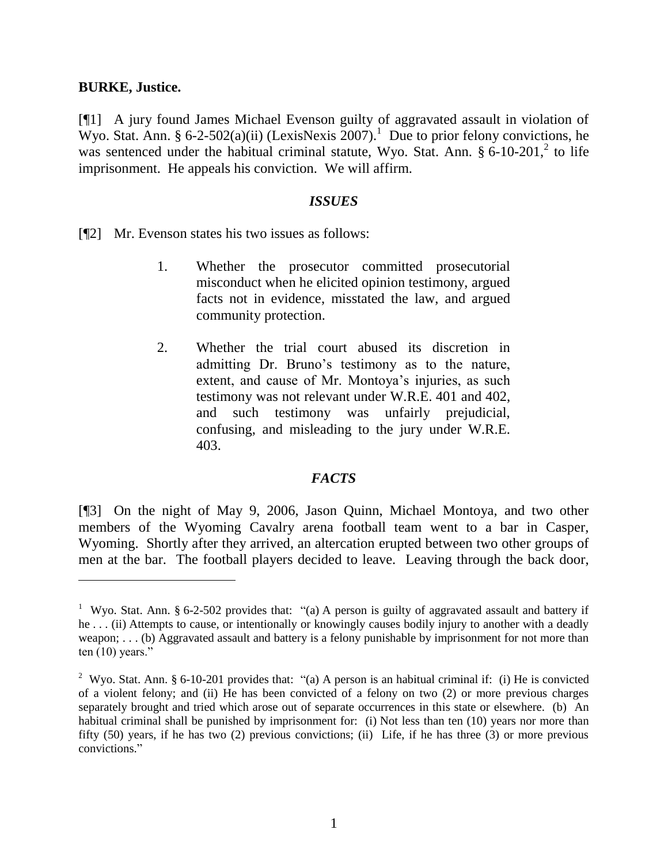#### **BURKE, Justice.**

 $\overline{a}$ 

[¶1] A jury found James Michael Evenson guilty of aggravated assault in violation of Wyo. Stat. Ann. § 6-2-502(a)(ii) (LexisNexis 2007).<sup>1</sup> Due to prior felony convictions, he was sentenced under the habitual criminal statute, Wyo. Stat. Ann.  $\S 6$ -10-201,  $2$  to life imprisonment. He appeals his conviction. We will affirm.

#### *ISSUES*

[¶2] Mr. Evenson states his two issues as follows:

- 1. Whether the prosecutor committed prosecutorial misconduct when he elicited opinion testimony, argued facts not in evidence, misstated the law, and argued community protection.
- 2. Whether the trial court abused its discretion in admitting Dr. Bruno's testimony as to the nature, extent, and cause of Mr. Montoya's injuries, as such testimony was not relevant under W.R.E. 401 and 402, and such testimony was unfairly prejudicial, confusing, and misleading to the jury under W.R.E. 403.

### *FACTS*

[¶3] On the night of May 9, 2006, Jason Quinn, Michael Montoya, and two other members of the Wyoming Cavalry arena football team went to a bar in Casper, Wyoming. Shortly after they arrived, an altercation erupted between two other groups of men at the bar. The football players decided to leave. Leaving through the back door,

<sup>&</sup>lt;sup>1</sup> Wyo. Stat. Ann. § 6-2-502 provides that: "(a) A person is guilty of aggravated assault and battery if he . . . (ii) Attempts to cause, or intentionally or knowingly causes bodily injury to another with a deadly weapon; . . . (b) Aggravated assault and battery is a felony punishable by imprisonment for not more than ten (10) years."

<sup>&</sup>lt;sup>2</sup> Wyo. Stat. Ann. § 6-10-201 provides that: "(a) A person is an habitual criminal if: (i) He is convicted of a violent felony; and (ii) He has been convicted of a felony on two (2) or more previous charges separately brought and tried which arose out of separate occurrences in this state or elsewhere. (b) An habitual criminal shall be punished by imprisonment for: (i) Not less than ten (10) years nor more than fifty (50) years, if he has two (2) previous convictions; (ii) Life, if he has three (3) or more previous convictions."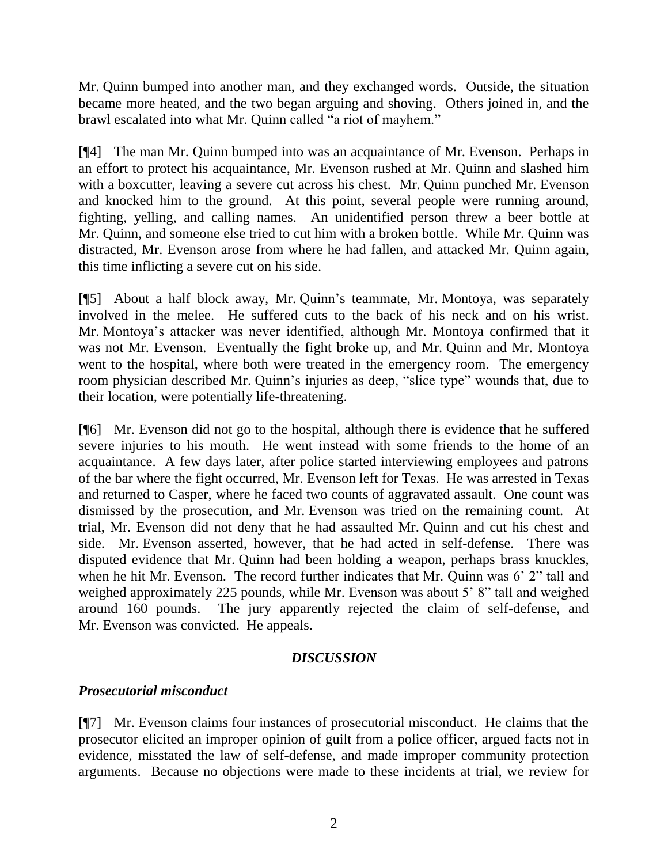Mr. Quinn bumped into another man, and they exchanged words. Outside, the situation became more heated, and the two began arguing and shoving. Others joined in, and the brawl escalated into what Mr. Quinn called "a riot of mayhem."

[¶4] The man Mr. Quinn bumped into was an acquaintance of Mr. Evenson. Perhaps in an effort to protect his acquaintance, Mr. Evenson rushed at Mr. Quinn and slashed him with a boxcutter, leaving a severe cut across his chest. Mr. Quinn punched Mr. Evenson and knocked him to the ground. At this point, several people were running around, fighting, yelling, and calling names. An unidentified person threw a beer bottle at Mr. Quinn, and someone else tried to cut him with a broken bottle. While Mr. Quinn was distracted, Mr. Evenson arose from where he had fallen, and attacked Mr. Quinn again, this time inflicting a severe cut on his side.

[¶5] About a half block away, Mr. Quinn's teammate, Mr. Montoya, was separately involved in the melee. He suffered cuts to the back of his neck and on his wrist. Mr. Montoya's attacker was never identified, although Mr. Montoya confirmed that it was not Mr. Evenson. Eventually the fight broke up, and Mr. Quinn and Mr. Montoya went to the hospital, where both were treated in the emergency room. The emergency room physician described Mr. Quinn's injuries as deep, "slice type" wounds that, due to their location, were potentially life-threatening.

[¶6] Mr. Evenson did not go to the hospital, although there is evidence that he suffered severe injuries to his mouth. He went instead with some friends to the home of an acquaintance. A few days later, after police started interviewing employees and patrons of the bar where the fight occurred, Mr. Evenson left for Texas. He was arrested in Texas and returned to Casper, where he faced two counts of aggravated assault. One count was dismissed by the prosecution, and Mr. Evenson was tried on the remaining count. At trial, Mr. Evenson did not deny that he had assaulted Mr. Quinn and cut his chest and side. Mr. Evenson asserted, however, that he had acted in self-defense. There was disputed evidence that Mr. Quinn had been holding a weapon, perhaps brass knuckles, when he hit Mr. Evenson. The record further indicates that Mr. Quinn was 6' 2" tall and weighed approximately 225 pounds, while Mr. Evenson was about 5' 8" tall and weighed around 160 pounds. The jury apparently rejected the claim of self-defense, and Mr. Evenson was convicted. He appeals.

### *DISCUSSION*

## *Prosecutorial misconduct*

[¶7] Mr. Evenson claims four instances of prosecutorial misconduct. He claims that the prosecutor elicited an improper opinion of guilt from a police officer, argued facts not in evidence, misstated the law of self-defense, and made improper community protection arguments. Because no objections were made to these incidents at trial, we review for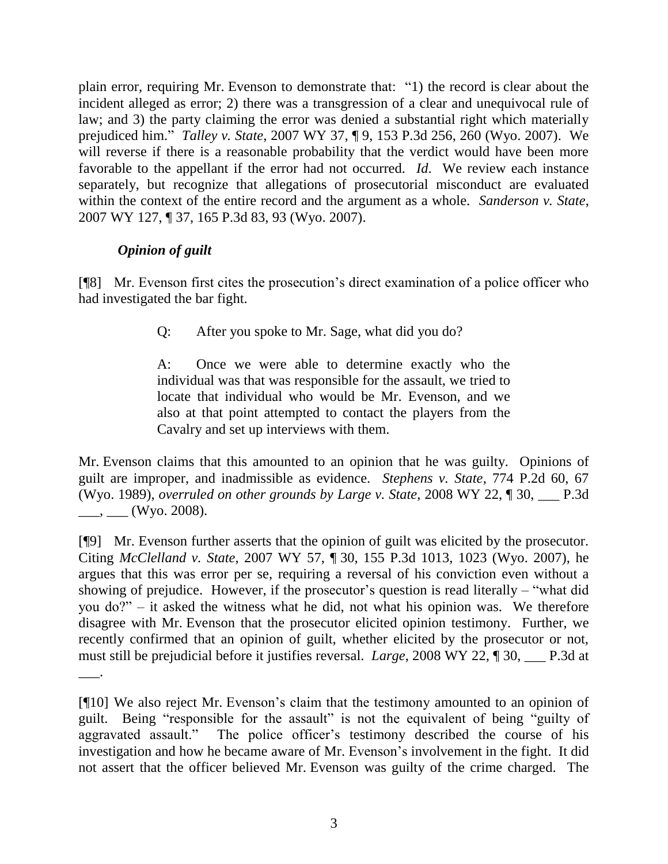plain error, requiring Mr. Evenson to demonstrate that: "1) the record is clear about the incident alleged as error; 2) there was a transgression of a clear and unequivocal rule of law; and 3) the party claiming the error was denied a substantial right which materially prejudiced him." *Talley v. State*, 2007 WY 37, ¶ 9, 153 P.3d 256, 260 (Wyo. 2007). We will reverse if there is a reasonable probability that the verdict would have been more favorable to the appellant if the error had not occurred. *Id*. We review each instance separately, but recognize that allegations of prosecutorial misconduct are evaluated within the context of the entire record and the argument as a whole. *Sanderson v. State*, 2007 WY 127, ¶ 37, 165 P.3d 83, 93 (Wyo. 2007).

# *Opinion of guilt*

[¶8] Mr. Evenson first cites the prosecution's direct examination of a police officer who had investigated the bar fight.

Q: After you spoke to Mr. Sage, what did you do?

A: Once we were able to determine exactly who the individual was that was responsible for the assault, we tried to locate that individual who would be Mr. Evenson, and we also at that point attempted to contact the players from the Cavalry and set up interviews with them.

Mr. Evenson claims that this amounted to an opinion that he was guilty. Opinions of guilt are improper, and inadmissible as evidence. *Stephens v. State*, 774 P.2d 60, 67 (Wyo. 1989), *overruled on other grounds by Large v. State*, 2008 WY 22, ¶ 30, \_\_\_ P.3d  $(W$ yo. 2008).

[¶9] Mr. Evenson further asserts that the opinion of guilt was elicited by the prosecutor. Citing *McClelland v. State*, 2007 WY 57, ¶ 30, 155 P.3d 1013, 1023 (Wyo. 2007), he argues that this was error per se, requiring a reversal of his conviction even without a showing of prejudice. However, if the prosecutor's question is read literally – "what did you do?" – it asked the witness what he did, not what his opinion was. We therefore disagree with Mr. Evenson that the prosecutor elicited opinion testimony. Further, we recently confirmed that an opinion of guilt, whether elicited by the prosecutor or not, must still be prejudicial before it justifies reversal. *Large*, 2008 WY 22, 1 30, P.3d at  $\overline{\phantom{a}}$ .

<sup>[¶10]</sup> We also reject Mr. Evenson's claim that the testimony amounted to an opinion of guilt. Being "responsible for the assault" is not the equivalent of being "guilty of aggravated assault." The police officer's testimony described the course of his investigation and how he became aware of Mr. Evenson's involvement in the fight. It did not assert that the officer believed Mr. Evenson was guilty of the crime charged. The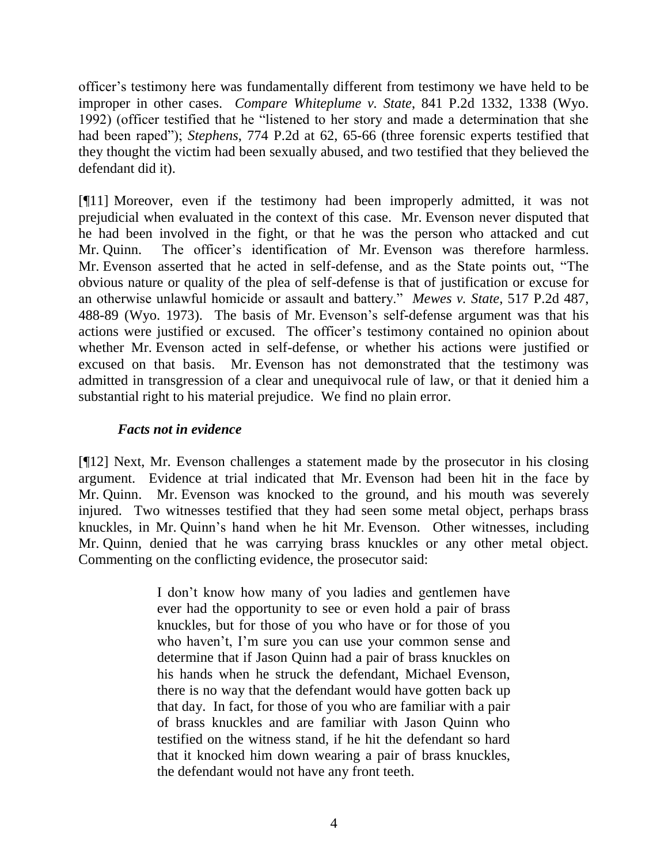officer's testimony here was fundamentally different from testimony we have held to be improper in other cases. *Compare Whiteplume v. State*, 841 P.2d 1332, 1338 (Wyo. 1992) (officer testified that he "listened to her story and made a determination that she had been raped"); *Stephens*, 774 P.2d at 62, 65-66 (three forensic experts testified that they thought the victim had been sexually abused, and two testified that they believed the defendant did it).

[¶11] Moreover, even if the testimony had been improperly admitted, it was not prejudicial when evaluated in the context of this case. Mr. Evenson never disputed that he had been involved in the fight, or that he was the person who attacked and cut Mr. Quinn. The officer's identification of Mr. Evenson was therefore harmless. Mr. Evenson asserted that he acted in self-defense, and as the State points out, "The obvious nature or quality of the plea of self-defense is that of justification or excuse for an otherwise unlawful homicide or assault and battery." *Mewes v. State*, 517 P.2d 487, 488-89 (Wyo. 1973). The basis of Mr. Evenson's self-defense argument was that his actions were justified or excused. The officer's testimony contained no opinion about whether Mr. Evenson acted in self-defense, or whether his actions were justified or excused on that basis. Mr. Evenson has not demonstrated that the testimony was admitted in transgression of a clear and unequivocal rule of law, or that it denied him a substantial right to his material prejudice. We find no plain error.

### *Facts not in evidence*

[¶12] Next, Mr. Evenson challenges a statement made by the prosecutor in his closing argument. Evidence at trial indicated that Mr. Evenson had been hit in the face by Mr. Quinn. Mr. Evenson was knocked to the ground, and his mouth was severely injured. Two witnesses testified that they had seen some metal object, perhaps brass knuckles, in Mr. Quinn's hand when he hit Mr. Evenson. Other witnesses, including Mr. Quinn, denied that he was carrying brass knuckles or any other metal object. Commenting on the conflicting evidence, the prosecutor said:

> I don't know how many of you ladies and gentlemen have ever had the opportunity to see or even hold a pair of brass knuckles, but for those of you who have or for those of you who haven't, I'm sure you can use your common sense and determine that if Jason Quinn had a pair of brass knuckles on his hands when he struck the defendant, Michael Evenson, there is no way that the defendant would have gotten back up that day. In fact, for those of you who are familiar with a pair of brass knuckles and are familiar with Jason Quinn who testified on the witness stand, if he hit the defendant so hard that it knocked him down wearing a pair of brass knuckles, the defendant would not have any front teeth.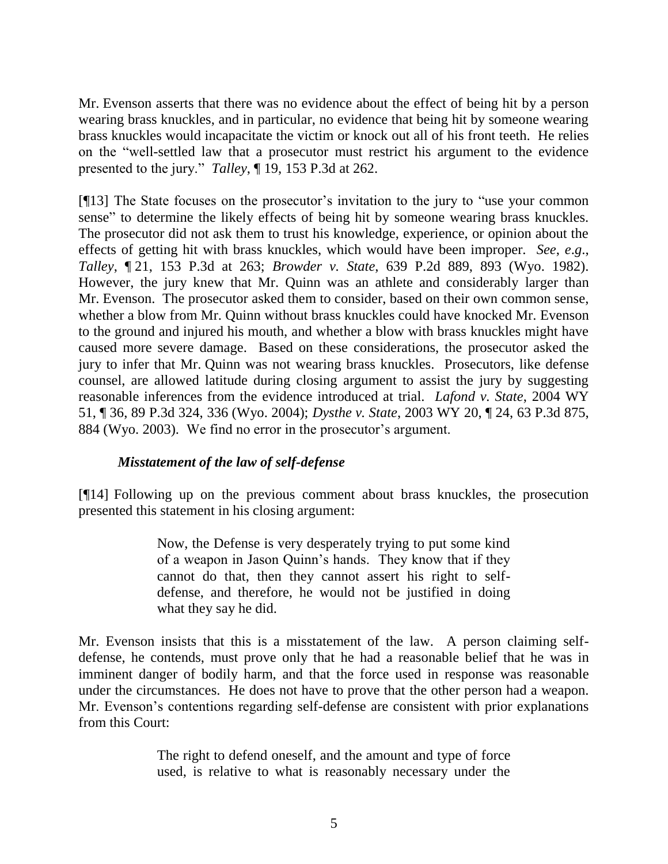Mr. Evenson asserts that there was no evidence about the effect of being hit by a person wearing brass knuckles, and in particular, no evidence that being hit by someone wearing brass knuckles would incapacitate the victim or knock out all of his front teeth. He relies on the "well-settled law that a prosecutor must restrict his argument to the evidence presented to the jury." *Talley*, ¶ 19, 153 P.3d at 262.

[¶13] The State focuses on the prosecutor's invitation to the jury to "use your common sense" to determine the likely effects of being hit by someone wearing brass knuckles. The prosecutor did not ask them to trust his knowledge, experience, or opinion about the effects of getting hit with brass knuckles, which would have been improper. *See*, *e*.*g*., *Talley*, ¶ 21, 153 P.3d at 263; *Browder v. State*, 639 P.2d 889, 893 (Wyo. 1982). However, the jury knew that Mr. Quinn was an athlete and considerably larger than Mr. Evenson. The prosecutor asked them to consider, based on their own common sense, whether a blow from Mr. Quinn without brass knuckles could have knocked Mr. Evenson to the ground and injured his mouth, and whether a blow with brass knuckles might have caused more severe damage. Based on these considerations, the prosecutor asked the jury to infer that Mr. Quinn was not wearing brass knuckles. Prosecutors, like defense counsel, are allowed latitude during closing argument to assist the jury by suggesting reasonable inferences from the evidence introduced at trial. *Lafond v. State*, 2004 WY 51, ¶ 36, 89 P.3d 324, 336 (Wyo. 2004); *Dysthe v. State*, 2003 WY 20, ¶ 24, 63 P.3d 875, 884 (Wyo. 2003). We find no error in the prosecutor's argument.

## *Misstatement of the law of self-defense*

[¶14] Following up on the previous comment about brass knuckles, the prosecution presented this statement in his closing argument:

> Now, the Defense is very desperately trying to put some kind of a weapon in Jason Quinn's hands. They know that if they cannot do that, then they cannot assert his right to selfdefense, and therefore, he would not be justified in doing what they say he did.

Mr. Evenson insists that this is a misstatement of the law. A person claiming selfdefense, he contends, must prove only that he had a reasonable belief that he was in imminent danger of bodily harm, and that the force used in response was reasonable under the circumstances. He does not have to prove that the other person had a weapon. Mr. Evenson's contentions regarding self-defense are consistent with prior explanations from this Court:

> The right to defend oneself, and the amount and type of force used, is relative to what is reasonably necessary under the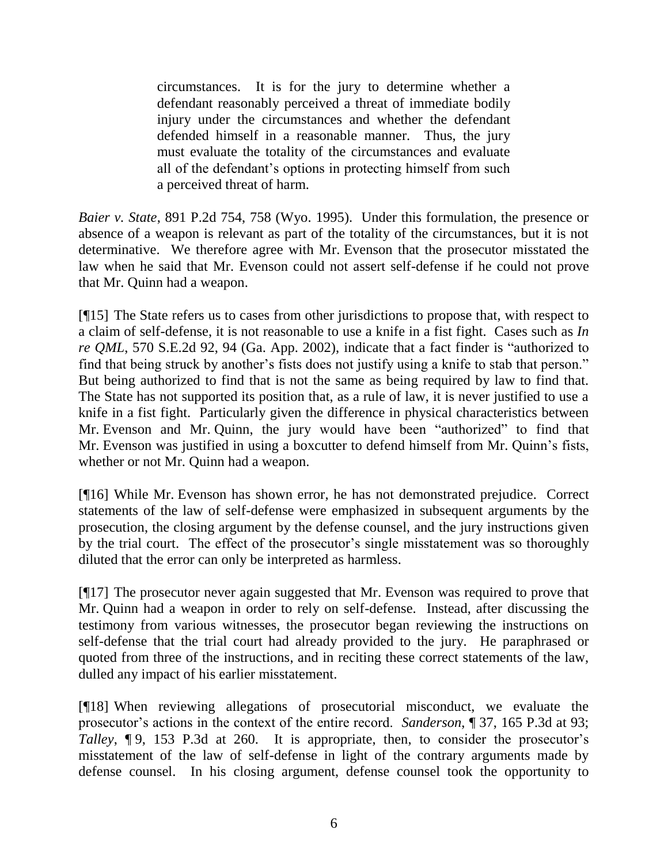circumstances. It is for the jury to determine whether a defendant reasonably perceived a threat of immediate bodily injury under the circumstances and whether the defendant defended himself in a reasonable manner. Thus, the jury must evaluate the totality of the circumstances and evaluate all of the defendant's options in protecting himself from such a perceived threat of harm.

*Baier v. State*, 891 P.2d 754, 758 (Wyo. 1995). Under this formulation, the presence or absence of a weapon is relevant as part of the totality of the circumstances, but it is not determinative. We therefore agree with Mr. Evenson that the prosecutor misstated the law when he said that Mr. Evenson could not assert self-defense if he could not prove that Mr. Quinn had a weapon.

[¶15] The State refers us to cases from other jurisdictions to propose that, with respect to a claim of self-defense, it is not reasonable to use a knife in a fist fight. Cases such as *In re QML*, 570 S.E.2d 92, 94 (Ga. App. 2002), indicate that a fact finder is "authorized to find that being struck by another's fists does not justify using a knife to stab that person." But being authorized to find that is not the same as being required by law to find that. The State has not supported its position that, as a rule of law, it is never justified to use a knife in a fist fight. Particularly given the difference in physical characteristics between Mr. Evenson and Mr. Quinn, the jury would have been "authorized" to find that Mr. Evenson was justified in using a boxcutter to defend himself from Mr. Quinn's fists, whether or not Mr. Quinn had a weapon.

[¶16] While Mr. Evenson has shown error, he has not demonstrated prejudice. Correct statements of the law of self-defense were emphasized in subsequent arguments by the prosecution, the closing argument by the defense counsel, and the jury instructions given by the trial court. The effect of the prosecutor's single misstatement was so thoroughly diluted that the error can only be interpreted as harmless.

[¶17] The prosecutor never again suggested that Mr. Evenson was required to prove that Mr. Quinn had a weapon in order to rely on self-defense. Instead, after discussing the testimony from various witnesses, the prosecutor began reviewing the instructions on self-defense that the trial court had already provided to the jury. He paraphrased or quoted from three of the instructions, and in reciting these correct statements of the law, dulled any impact of his earlier misstatement.

[¶18] When reviewing allegations of prosecutorial misconduct, we evaluate the prosecutor's actions in the context of the entire record. *Sanderson*, ¶ 37, 165 P.3d at 93; *Talley*, **[9, 153 P.3d at 260.** It is appropriate, then, to consider the prosecutor's misstatement of the law of self-defense in light of the contrary arguments made by defense counsel. In his closing argument, defense counsel took the opportunity to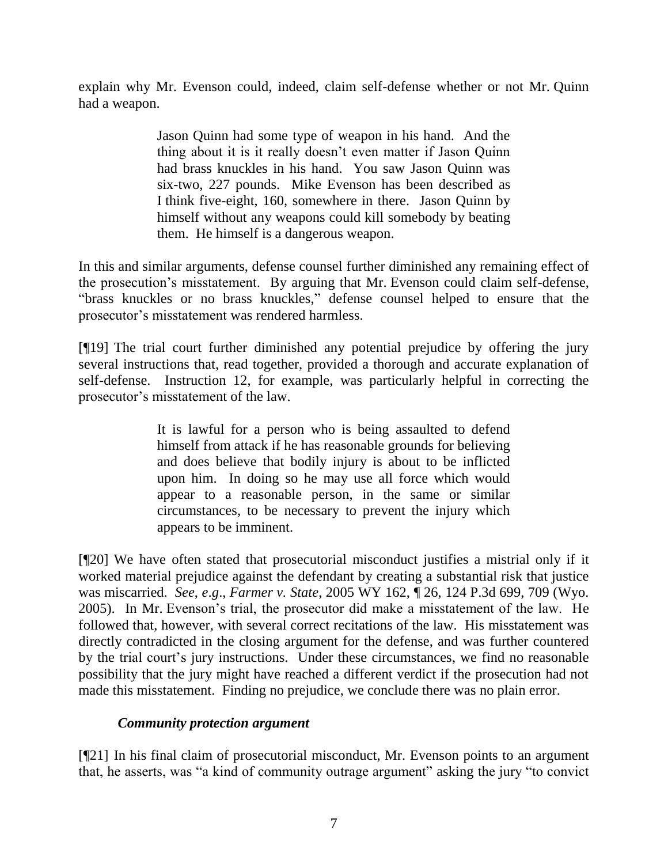explain why Mr. Evenson could, indeed, claim self-defense whether or not Mr. Quinn had a weapon.

> Jason Quinn had some type of weapon in his hand. And the thing about it is it really doesn't even matter if Jason Quinn had brass knuckles in his hand. You saw Jason Quinn was six-two, 227 pounds. Mike Evenson has been described as I think five-eight, 160, somewhere in there. Jason Quinn by himself without any weapons could kill somebody by beating them. He himself is a dangerous weapon.

In this and similar arguments, defense counsel further diminished any remaining effect of the prosecution's misstatement. By arguing that Mr. Evenson could claim self-defense, "brass knuckles or no brass knuckles," defense counsel helped to ensure that the prosecutor's misstatement was rendered harmless.

[¶19] The trial court further diminished any potential prejudice by offering the jury several instructions that, read together, provided a thorough and accurate explanation of self-defense. Instruction 12, for example, was particularly helpful in correcting the prosecutor's misstatement of the law.

> It is lawful for a person who is being assaulted to defend himself from attack if he has reasonable grounds for believing and does believe that bodily injury is about to be inflicted upon him. In doing so he may use all force which would appear to a reasonable person, in the same or similar circumstances, to be necessary to prevent the injury which appears to be imminent.

[¶20] We have often stated that prosecutorial misconduct justifies a mistrial only if it worked material prejudice against the defendant by creating a substantial risk that justice was miscarried. *See*, *e*.*g*., *Farmer v. State*, 2005 WY 162, ¶ 26, 124 P.3d 699, 709 (Wyo. 2005). In Mr. Evenson's trial, the prosecutor did make a misstatement of the law. He followed that, however, with several correct recitations of the law. His misstatement was directly contradicted in the closing argument for the defense, and was further countered by the trial court's jury instructions. Under these circumstances, we find no reasonable possibility that the jury might have reached a different verdict if the prosecution had not made this misstatement. Finding no prejudice, we conclude there was no plain error.

### *Community protection argument*

[¶21] In his final claim of prosecutorial misconduct, Mr. Evenson points to an argument that, he asserts, was "a kind of community outrage argument" asking the jury "to convict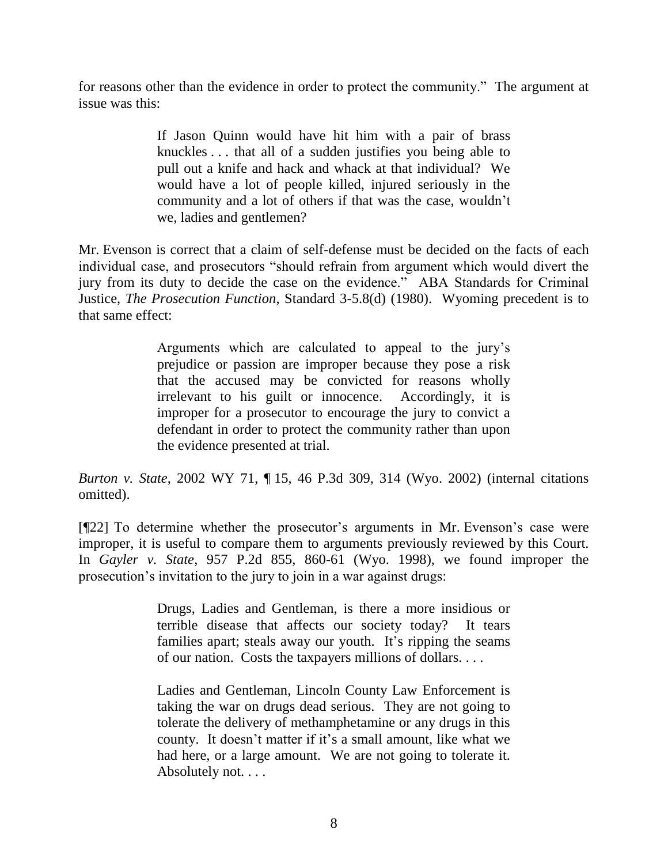for reasons other than the evidence in order to protect the community." The argument at issue was this:

> If Jason Quinn would have hit him with a pair of brass knuckles . . . that all of a sudden justifies you being able to pull out a knife and hack and whack at that individual? We would have a lot of people killed, injured seriously in the community and a lot of others if that was the case, wouldn't we, ladies and gentlemen?

Mr. Evenson is correct that a claim of self-defense must be decided on the facts of each individual case, and prosecutors "should refrain from argument which would divert the jury from its duty to decide the case on the evidence." ABA Standards for Criminal Justice, *The Prosecution Function*, Standard 3-5.8(d) (1980). Wyoming precedent is to that same effect:

> Arguments which are calculated to appeal to the jury's prejudice or passion are improper because they pose a risk that the accused may be convicted for reasons wholly irrelevant to his guilt or innocence. Accordingly, it is improper for a prosecutor to encourage the jury to convict a defendant in order to protect the community rather than upon the evidence presented at trial.

*Burton v. State*, 2002 WY 71, ¶ 15, 46 P.3d 309, 314 (Wyo. 2002) (internal citations omitted).

[¶22] To determine whether the prosecutor's arguments in Mr. Evenson's case were improper, it is useful to compare them to arguments previously reviewed by this Court. In *Gayler v. State*, 957 P.2d 855, 860-61 (Wyo. 1998), we found improper the prosecution's invitation to the jury to join in a war against drugs:

> Drugs, Ladies and Gentleman, is there a more insidious or terrible disease that affects our society today? It tears families apart; steals away our youth. It's ripping the seams of our nation. Costs the taxpayers millions of dollars. . . .

> Ladies and Gentleman, Lincoln County Law Enforcement is taking the war on drugs dead serious. They are not going to tolerate the delivery of methamphetamine or any drugs in this county. It doesn't matter if it's a small amount, like what we had here, or a large amount. We are not going to tolerate it. Absolutely not. . . .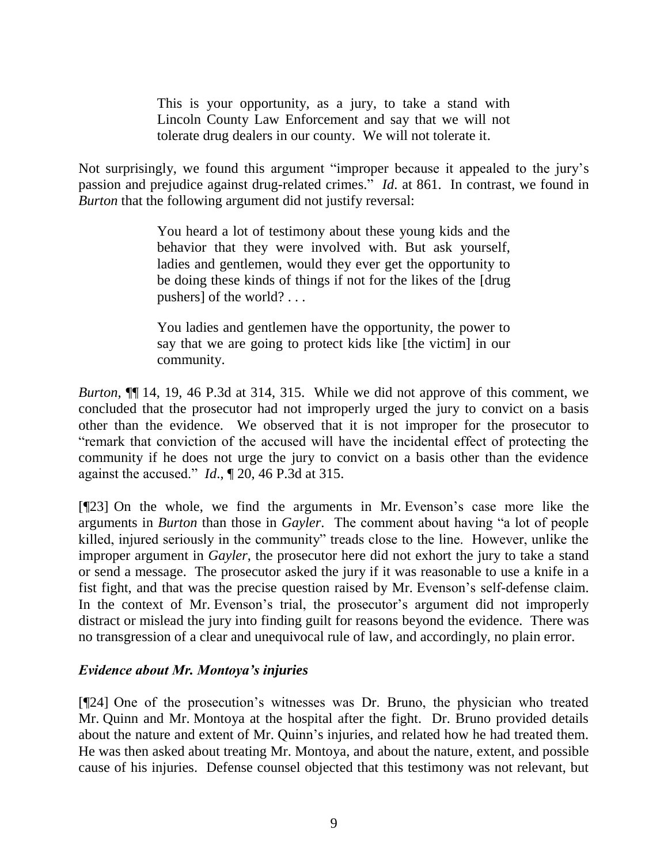This is your opportunity, as a jury, to take a stand with Lincoln County Law Enforcement and say that we will not tolerate drug dealers in our county. We will not tolerate it.

Not surprisingly, we found this argument "improper because it appealed to the jury's passion and prejudice against drug-related crimes." *Id*. at 861. In contrast, we found in *Burton* that the following argument did not justify reversal:

> You heard a lot of testimony about these young kids and the behavior that they were involved with. But ask yourself, ladies and gentlemen, would they ever get the opportunity to be doing these kinds of things if not for the likes of the [drug pushers] of the world? . . .

> You ladies and gentlemen have the opportunity, the power to say that we are going to protect kids like [the victim] in our community.

*Burton*, ¶¶ 14, 19, 46 P.3d at 314, 315. While we did not approve of this comment, we concluded that the prosecutor had not improperly urged the jury to convict on a basis other than the evidence. We observed that it is not improper for the prosecutor to "remark that conviction of the accused will have the incidental effect of protecting the community if he does not urge the jury to convict on a basis other than the evidence against the accused." *Id*., ¶ 20, 46 P.3d at 315.

[¶23] On the whole, we find the arguments in Mr. Evenson's case more like the arguments in *Burton* than those in *Gayler*. The comment about having "a lot of people killed, injured seriously in the community" treads close to the line. However, unlike the improper argument in *Gayler*, the prosecutor here did not exhort the jury to take a stand or send a message. The prosecutor asked the jury if it was reasonable to use a knife in a fist fight, and that was the precise question raised by Mr. Evenson's self-defense claim. In the context of Mr. Evenson's trial, the prosecutor's argument did not improperly distract or mislead the jury into finding guilt for reasons beyond the evidence. There was no transgression of a clear and unequivocal rule of law, and accordingly, no plain error.

## *Evidence about Mr. Montoya's injuries*

[¶24] One of the prosecution's witnesses was Dr. Bruno, the physician who treated Mr. Quinn and Mr. Montoya at the hospital after the fight. Dr. Bruno provided details about the nature and extent of Mr. Quinn's injuries, and related how he had treated them. He was then asked about treating Mr. Montoya, and about the nature, extent, and possible cause of his injuries. Defense counsel objected that this testimony was not relevant, but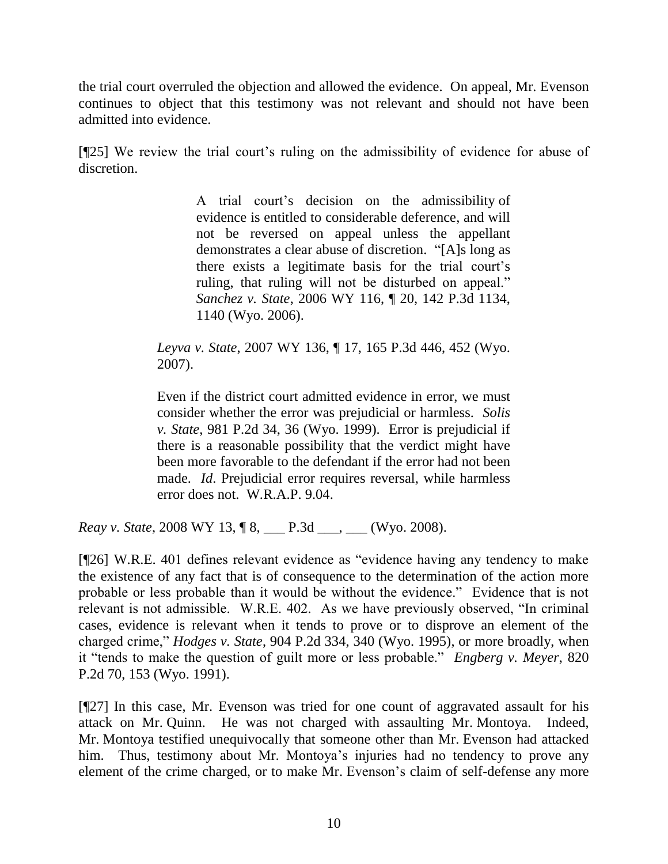the trial court overruled the objection and allowed the evidence. On appeal, Mr. Evenson continues to object that this testimony was not relevant and should not have been admitted into evidence.

[¶25] We review the trial court's ruling on the admissibility of evidence for abuse of discretion.

> A trial court's decision on the admissibility of evidence is entitled to considerable deference, and will not be reversed on appeal unless the appellant demonstrates a clear abuse of discretion. "[A]s long as there exists a legitimate basis for the trial court's ruling, that ruling will not be disturbed on appeal." *Sanchez v. State*, 2006 WY 116, ¶ 20, 142 P.3d 1134, 1140 (Wyo. 2006).

*Leyva v. State*, 2007 WY 136, ¶ 17, 165 P.3d 446, 452 (Wyo. 2007).

Even if the district court admitted evidence in error, we must consider whether the error was prejudicial or harmless. *Solis v. State*, 981 P.2d 34, 36 (Wyo. 1999). Error is prejudicial if there is a reasonable possibility that the verdict might have been more favorable to the defendant if the error had not been made. *Id*. Prejudicial error requires reversal, while harmless error does not. W.R.A.P. 9.04.

*Reay v. State*, 2008 WY 13, ¶ 8, \_\_\_ P.3d \_\_\_, \_\_\_ (Wyo. 2008).

[¶26] W.R.E. 401 defines relevant evidence as "evidence having any tendency to make the existence of any fact that is of consequence to the determination of the action more probable or less probable than it would be without the evidence." Evidence that is not relevant is not admissible. W.R.E. 402. As we have previously observed, "In criminal cases, evidence is relevant when it tends to prove or to disprove an element of the charged crime," *Hodges v. State*, 904 P.2d 334, 340 (Wyo. 1995), or more broadly, when it "tends to make the question of guilt more or less probable." *Engberg v. Meyer*, 820 P.2d 70, 153 (Wyo. 1991).

[¶27] In this case, Mr. Evenson was tried for one count of aggravated assault for his attack on Mr. Quinn. He was not charged with assaulting Mr. Montoya. Indeed, Mr. Montoya testified unequivocally that someone other than Mr. Evenson had attacked him. Thus, testimony about Mr. Montoya's injuries had no tendency to prove any element of the crime charged, or to make Mr. Evenson's claim of self-defense any more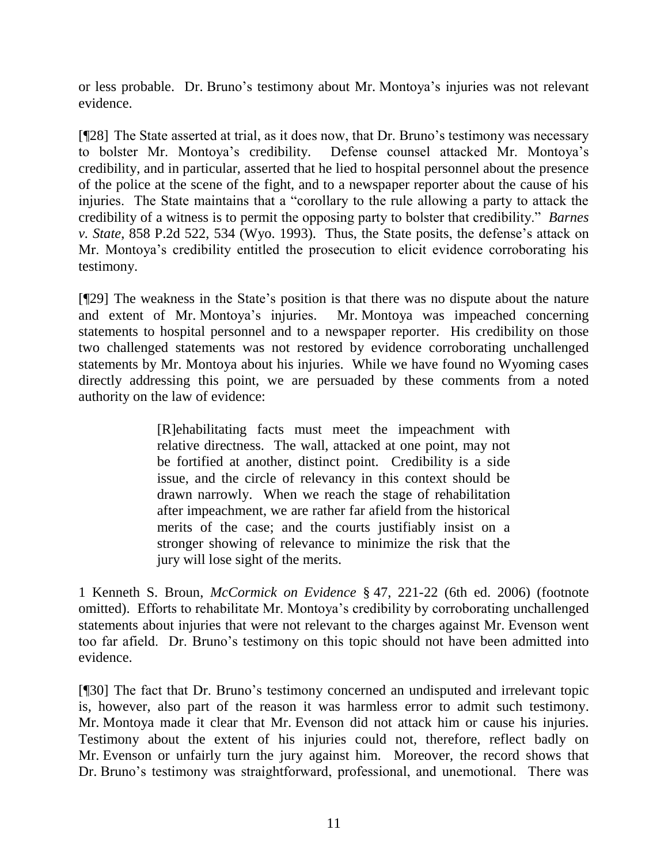or less probable. Dr. Bruno's testimony about Mr. Montoya's injuries was not relevant evidence.

[¶28] The State asserted at trial, as it does now, that Dr. Bruno's testimony was necessary to bolster Mr. Montoya's credibility. Defense counsel attacked Mr. Montoya's credibility, and in particular, asserted that he lied to hospital personnel about the presence of the police at the scene of the fight, and to a newspaper reporter about the cause of his injuries. The State maintains that a "corollary to the rule allowing a party to attack the credibility of a witness is to permit the opposing party to bolster that credibility." *Barnes v. State*, 858 P.2d 522, 534 (Wyo. 1993). Thus, the State posits, the defense's attack on Mr. Montoya's credibility entitled the prosecution to elicit evidence corroborating his testimony.

[¶29] The weakness in the State's position is that there was no dispute about the nature and extent of Mr. Montoya's injuries. Mr. Montoya was impeached concerning statements to hospital personnel and to a newspaper reporter. His credibility on those two challenged statements was not restored by evidence corroborating unchallenged statements by Mr. Montoya about his injuries. While we have found no Wyoming cases directly addressing this point, we are persuaded by these comments from a noted authority on the law of evidence:

> [R]ehabilitating facts must meet the impeachment with relative directness. The wall, attacked at one point, may not be fortified at another, distinct point. Credibility is a side issue, and the circle of relevancy in this context should be drawn narrowly. When we reach the stage of rehabilitation after impeachment, we are rather far afield from the historical merits of the case; and the courts justifiably insist on a stronger showing of relevance to minimize the risk that the jury will lose sight of the merits.

1 Kenneth S. Broun, *McCormick on Evidence* § 47, 221-22 (6th ed. 2006) (footnote omitted). Efforts to rehabilitate Mr. Montoya's credibility by corroborating unchallenged statements about injuries that were not relevant to the charges against Mr. Evenson went too far afield. Dr. Bruno's testimony on this topic should not have been admitted into evidence.

[¶30] The fact that Dr. Bruno's testimony concerned an undisputed and irrelevant topic is, however, also part of the reason it was harmless error to admit such testimony. Mr. Montoya made it clear that Mr. Evenson did not attack him or cause his injuries. Testimony about the extent of his injuries could not, therefore, reflect badly on Mr. Evenson or unfairly turn the jury against him. Moreover, the record shows that Dr. Bruno's testimony was straightforward, professional, and unemotional. There was